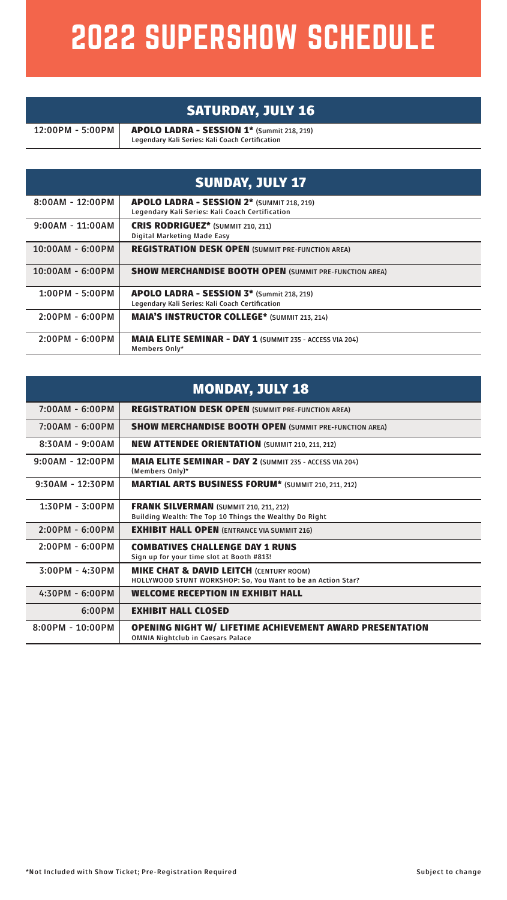## 2022 SUPERSHOW SCHEDULE

## SATURDAY, JULY 16

**12:00PM - 5:00PM** APOLO LADRA - SESSION 1\* **(Summit 218, 219) Legendary Kali Series: Kali Coach Certification**

| <b>SUNDAY, JULY 17</b> |                                                                                               |  |  |  |
|------------------------|-----------------------------------------------------------------------------------------------|--|--|--|
| $8:00AM - 12:00PM$     | APOLO LADRA - SESSION 2* (SUMMIT 218, 219)<br>Legendary Kali Series: Kali Coach Certification |  |  |  |
| $9:00AM - 11:00AM$     | <b>CRIS RODRIGUEZ*</b> (SUMMIT 210, 211)<br>Digital Marketing Made Easy                       |  |  |  |
| $10:00AM - 6:00PM$     | <b>REGISTRATION DESK OPEN (SUMMIT PRE-FUNCTION AREA)</b>                                      |  |  |  |
| 10:00AM - 6:00PM       | <b>SHOW MERCHANDISE BOOTH OPEN (SUMMIT PRE-FUNCTION AREA)</b>                                 |  |  |  |
| $1:00PM - 5:00PM$      | APOLO LADRA - SESSION 3* (Summit 218, 219)<br>Legendary Kali Series: Kali Coach Certification |  |  |  |
| 2:00PM - 6:00PM        | <b>MAIA'S INSTRUCTOR COLLEGE*</b> (SUMMIT 213, 214)                                           |  |  |  |
| $2:00PM - 6:00PM$      | <b>MAIA ELITE SEMINAR - DAY 1 (SUMMIT 235 - ACCESS VIA 204)</b><br>Members Only*              |  |  |  |

| <b>MONDAY, JULY 18</b> |                                                                                                                    |  |  |  |
|------------------------|--------------------------------------------------------------------------------------------------------------------|--|--|--|
| $7:00AM - 6:00PM$      | <b>REGISTRATION DESK OPEN (SUMMIT PRE-FUNCTION AREA)</b>                                                           |  |  |  |
| 7:00AM - 6:00PM        | <b>SHOW MERCHANDISE BOOTH OPEN (SUMMIT PRE-FUNCTION AREA)</b>                                                      |  |  |  |
| $8:30AM - 9:00AM$      | <b>NEW ATTENDEE ORIENTATION (SUMMIT 210, 211, 212)</b>                                                             |  |  |  |
| $9:00AM - 12:00PM$     | <b>MAIA ELITE SEMINAR - DAY 2 (SUMMIT 235 - ACCESS VIA 204)</b><br>(Members Only)*                                 |  |  |  |
| $9:30AM - 12:30PM$     | <b>MARTIAL ARTS BUSINESS FORUM*</b> (SUMMIT 210, 211, 212)                                                         |  |  |  |
| $1:30PM - 3:00PM$      | <b>FRANK SILVERMAN (SUMMIT 210, 211, 212)</b><br>Building Wealth: The Top 10 Things the Wealthy Do Right           |  |  |  |
| $2:00PM - 6:00PM$      | <b>EXHIBIT HALL OPEN (ENTRANCE VIA SUMMIT 216)</b>                                                                 |  |  |  |
| $2:00PM - 6:00PM$      | <b>COMBATIVES CHALLENGE DAY 1 RUNS</b><br>Sign up for your time slot at Booth #813!                                |  |  |  |
| $3:00PM - 4:30PM$      | <b>MIKE CHAT &amp; DAVID LEITCH (CENTURY ROOM)</b><br>HOLLYWOOD STUNT WORKSHOP: So, You Want to be an Action Star? |  |  |  |
| $4:30PM - 6:00PM$      | <b>WELCOME RECEPTION IN EXHIBIT HALL</b>                                                                           |  |  |  |
| 6:00PM                 | <b>EXHIBIT HALL CLOSED</b>                                                                                         |  |  |  |
| $8:00PM - 10:00PM$     | <b>OPENING NIGHT W/ LIFETIME ACHIEVEMENT AWARD PRESENTATION</b><br><b>OMNIA Nightclub in Caesars Palace</b>        |  |  |  |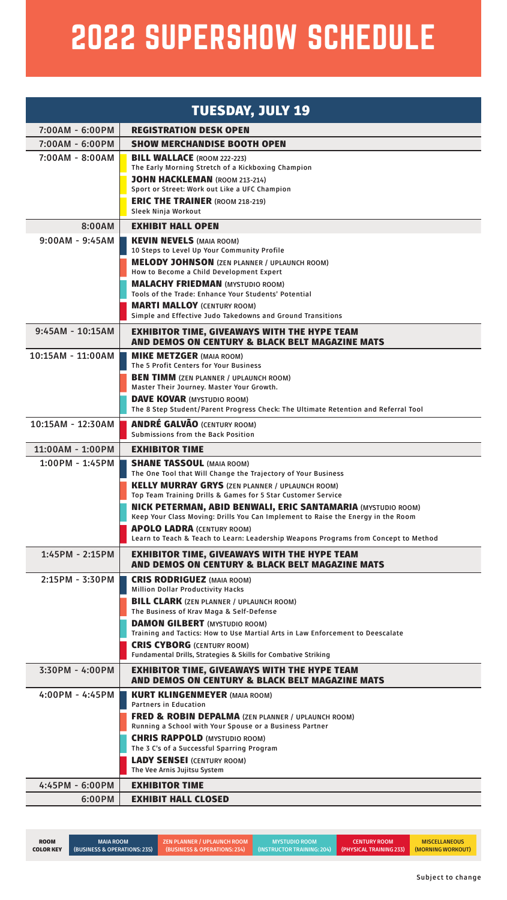## 2022 SUPERSHOW SCHEDULE

| <b>TUESDAY, JULY 19</b>             |                                                                                                                                                         |  |  |  |
|-------------------------------------|---------------------------------------------------------------------------------------------------------------------------------------------------------|--|--|--|
| 7:00AM - 6:00PM                     | <b>REGISTRATION DESK OPEN</b>                                                                                                                           |  |  |  |
| 7:00AM - 6:00PM                     | <b>SHOW MERCHANDISE BOOTH OPEN</b>                                                                                                                      |  |  |  |
| 7:00AM - 8:00AM                     | <b>BILL WALLACE</b> (ROOM 222-223)<br>The Early Morning Stretch of a Kickboxing Champion                                                                |  |  |  |
|                                     | <b>JOHN HACKLEMAN (ROOM 213-214)</b><br>Sport or Street: Work out Like a UFC Champion                                                                   |  |  |  |
|                                     | <b>ERIC THE TRAINER (ROOM 218-219)</b><br>Sleek Ninja Workout                                                                                           |  |  |  |
| 8:00AM                              | <b>EXHIBIT HALL OPEN</b>                                                                                                                                |  |  |  |
| $9:00AM - 9:45AM$                   | <b>KEVIN NEVELS (MAIA ROOM)</b>                                                                                                                         |  |  |  |
|                                     | 10 Steps to Level Up Your Community Profile                                                                                                             |  |  |  |
|                                     | <b>MELODY JOHNSON</b> (ZEN PLANNER / UPLAUNCH ROOM)<br>How to Become a Child Development Expert                                                         |  |  |  |
|                                     | <b>MALACHY FRIEDMAN (MYSTUDIO ROOM)</b>                                                                                                                 |  |  |  |
|                                     | Tools of the Trade: Enhance Your Students' Potential                                                                                                    |  |  |  |
|                                     | <b>MARTI MALLOY (CENTURY ROOM)</b>                                                                                                                      |  |  |  |
|                                     | Simple and Effective Judo Takedowns and Ground Transitions                                                                                              |  |  |  |
| 9:45AM - 10:15AM                    | <b>EXHIBITOR TIME, GIVEAWAYS WITH THE HYPE TEAM</b><br>AND DEMOS ON CENTURY & BLACK BELT MAGAZINE MATS                                                  |  |  |  |
| 10:15AM - 11:00AM                   | <b>MIKE METZGER (MAIA ROOM)</b><br>The 5 Profit Centers for Your Business                                                                               |  |  |  |
|                                     | <b>BEN TIMM</b> (ZEN PLANNER / UPLAUNCH ROOM)                                                                                                           |  |  |  |
|                                     | Master Their Journey. Master Your Growth.                                                                                                               |  |  |  |
|                                     | <b>DAVE KOVAR (MYSTUDIO ROOM)</b><br>The 8 Step Student/Parent Progress Check: The Ultimate Retention and Referral Tool                                 |  |  |  |
| 10:15AM - 12:30AM                   | <b>ANDRÉ GALVÃO (CENTURY ROOM)</b>                                                                                                                      |  |  |  |
|                                     | Submissions from the Back Position<br><b>EXHIBITOR TIME</b>                                                                                             |  |  |  |
| 11:00AM - 1:00PM<br>1:00PM - 1:45PM | <b>SHANE TASSOUL (MAIA ROOM)</b>                                                                                                                        |  |  |  |
|                                     | The One Tool that Will Change the Trajectory of Your Business                                                                                           |  |  |  |
|                                     | <b>KELLY MURRAY GRYS</b> (ZEN PLANNER / UPLAUNCH ROOM)<br>Top Team Training Drills & Games for 5 Star Customer Service                                  |  |  |  |
|                                     | <b>NICK PETERMAN, ABID BENWALI, ERIC SANTAMARIA (MYSTUDIO ROOM)</b><br>Keep Your Class Moving: Drills You Can Implement to Raise the Energy in the Room |  |  |  |
|                                     | <b>APOLO LADRA (CENTURY ROOM)</b>                                                                                                                       |  |  |  |
| 1:45PM - 2:15PM                     | Learn to Teach & Teach to Learn: Leadership Weapons Programs from Concept to Method                                                                     |  |  |  |
|                                     | <b>EXHIBITOR TIME, GIVEAWAYS WITH THE HYPE TEAM</b><br>AND DEMOS ON CENTURY & BLACK BELT MAGAZINE MATS                                                  |  |  |  |
| 2:15PM - 3:30PM                     | <b>CRIS RODRIGUEZ</b> (MAIA ROOM)<br><b>Million Dollar Productivity Hacks</b>                                                                           |  |  |  |
|                                     | <b>BILL CLARK</b> (ZEN PLANNER / UPLAUNCH ROOM)                                                                                                         |  |  |  |
|                                     | The Business of Krav Maga & Self-Defense                                                                                                                |  |  |  |
|                                     | <b>DAMON GILBERT</b> (MYSTUDIO ROOM)<br>Training and Tactics: How to Use Martial Arts in Law Enforcement to Deescalate                                  |  |  |  |
|                                     | <b>CRIS CYBORG (CENTURY ROOM)</b>                                                                                                                       |  |  |  |
|                                     | Fundamental Drills, Strategies & Skills for Combative Striking                                                                                          |  |  |  |
| 3:30PM - 4:00PM                     | <b>EXHIBITOR TIME, GIVEAWAYS WITH THE HYPE TEAM</b><br>AND DEMOS ON CENTURY & BLACK BELT MAGAZINE MATS                                                  |  |  |  |
| 4:00PM - 4:45PM                     | <b>KURT KLINGENMEYER (MAIA ROOM)</b><br><b>Partners in Education</b>                                                                                    |  |  |  |
|                                     | <b>FRED &amp; ROBIN DEPALMA (ZEN PLANNER / UPLAUNCH ROOM)</b><br>Running a School with Your Spouse or a Business Partner                                |  |  |  |
|                                     | <b>CHRIS RAPPOLD (MYSTUDIO ROOM)</b>                                                                                                                    |  |  |  |
|                                     | The 3 C's of a Successful Sparring Program                                                                                                              |  |  |  |
|                                     | <b>LADY SENSEI (CENTURY ROOM)</b><br>The Vee Arnis Jujitsu System                                                                                       |  |  |  |
| 4:45PM - 6:00PM                     | <b>EXHIBITOR TIME</b>                                                                                                                                   |  |  |  |
| 6:00PM                              | <b>EXHIBIT HALL CLOSED</b>                                                                                                                              |  |  |  |

| <b>ROOM</b>      | <b>MAIA ROOM</b>                     | <b>ZEN PLANNER / UPLAUNCH ROOM</b> | <b>MYSTUDIO ROOM</b> | <b>CENTURY ROOM</b> | <b>MISCELLANEOUS</b> |
|------------------|--------------------------------------|------------------------------------|----------------------|---------------------|----------------------|
| <b>COLOR KEY</b> | $[$ (BUSINESS & OPERATIONS: 235) $[$ |                                    |                      |                     |                      |
|                  |                                      |                                    |                      |                     |                      |